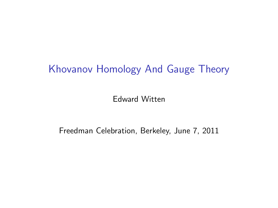## Khovanov Homology And Gauge Theory

Edward Witten

Freedman Celebration, Berkeley, June 7, 2011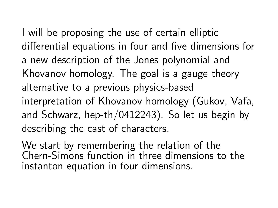I will be proposing the use of certain elliptic differential equations in four and five dimensions for a new description of the Jones polynomial and Khovanov homology. The goal is a gauge theory alternative to a previous physics-based interpretation of Khovanov homology (Gukov, Vafa, and Schwarz, hep-th/0412243). So let us begin by describing the cast of characters.

We start by remembering the relation of the Chern-Simons function in three dimensions to the instanton equation in four dimensions.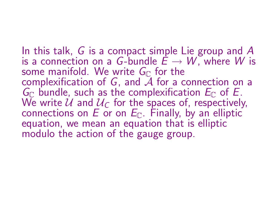In this talk, G is a compact simple Lie group and A is a connection on a G-bundle  $\dot{E} \rightarrow W$ , where W is some manifold. We write  $G_{\mathbb{C}}$  for the complexification of  $G$ , and  $A$  for a connection on a  $G_{\mathbb{C}}$  bundle, such as the complexification  $E_{\mathbb{C}}$  of E. We write U and  $U_{\text{C}}$  for the spaces of, respectively, connections on E or on  $E_{\mathbb{C}}$ . Finally, by an elliptic equation, we mean an equation that is elliptic modulo the action of the gauge group.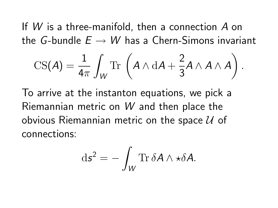If W is a three-manifold, then a connection A on the G-bundle  $E \rightarrow W$  has a Chern-Simons invariant

$$
\text{CS}(A) = \frac{1}{4\pi} \int_W \text{Tr} \left( A \wedge \mathrm{d}A + \frac{2}{3} A \wedge A \wedge A \right).
$$

To arrive at the instanton equations, we pick a Riemannian metric on W and then place the obvious Riemannian metric on the space  $U$  of connections:

$$
\mathrm{d}\mathbf{s}^2 = -\int_W \mathrm{Tr}\, \delta A \wedge \star \delta A.
$$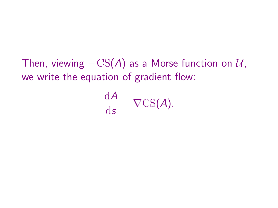Then, viewing  $-CS(A)$  as a Morse function on  $U$ , we write the equation of gradient flow:

$$
\frac{\mathrm{d}A}{\mathrm{d}s} = \nabla\mathrm{CS}(A).
$$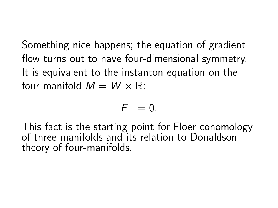Something nice happens; the equation of gradient flow turns out to have four-dimensional symmetry. It is equivalent to the instanton equation on the four-manifold  $M = W \times \mathbb{R}$ :

$$
F^+=0.
$$

This fact is the starting point for Floer cohomology of three-manifolds and its relation to Donaldson theory of four-manifolds.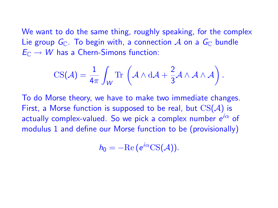We want to do the same thing, roughly speaking, for the complex Lie group  $G_{\mathbb{C}}$ . To begin with, a connection A on a  $G_{\mathbb{C}}$  bundle  $E_{\mathbb{C}} \to W$  has a Chern-Simons function:

$$
\text{CS}(\mathcal{A}) = \frac{1}{4\pi} \int_W \text{Tr}\,\left(\mathcal{A} \wedge d\mathcal{A} + \frac{2}{3}\mathcal{A} \wedge \mathcal{A} \wedge \mathcal{A}\right).
$$

To do Morse theory, we have to make two immediate changes. First, a Morse function is supposed to be real, but  $CS(A)$  is actually complex-valued. So we pick a complex number  $e^{i\alpha}$  of modulus 1 and define our Morse function to be (provisionally)

$$
h_0=-\mathrm{Re}\,(e^{i\alpha}\mathrm{CS}(\mathcal{A})).
$$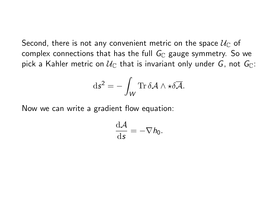Second, there is not any convenient metric on the space  $\mathcal{U}_{\mathbb{C}}$  of complex connections that has the full  $G_{\mathbb{C}}$  gauge symmetry. So we pick a Kahler metric on  $\mathcal{U}_{\mathbb{C}}$  that is invariant only under G, not  $G_{\mathbb{C}}$ :

$$
\mathrm{d}\boldsymbol{s}^2 = -\int_W \mathrm{Tr}\, \delta \mathcal{A} \wedge \star \delta \overline{\mathcal{A}}.
$$

Now we can write a gradient flow equation:

$$
\frac{\mathrm{d}\mathcal{A}}{\mathrm{d}\mathbf{s}}=-\nabla h_0.
$$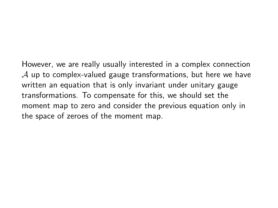However, we are really usually interested in a complex connection  $\mathcal A$  up to complex-valued gauge transformations, but here we have written an equation that is only invariant under unitary gauge transformations. To compensate for this, we should set the moment map to zero and consider the previous equation only in the space of zeroes of the moment map.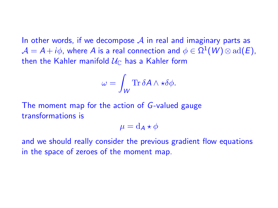In other words, if we decompose  $\mathcal A$  in real and imaginary parts as  $\mathcal{A} = \mathcal{A} + i\phi$ , where  $\mathcal{A}$  is a real connection and  $\phi \in \Omega^1(W) \otimes \text{ad}(E)$ , then the Kahler manifold  $\mathcal{U}_{\mathbb{C}}$  has a Kahler form

$$
\omega = \int_W \text{Tr} \, \delta A \wedge \star \delta \phi.
$$

The moment map for the action of G-valued gauge transformations is

 $\mu = d_{\mathbf{\Delta}} \star \phi$ 

and we should really consider the previous gradient flow equations in the space of zeroes of the moment map.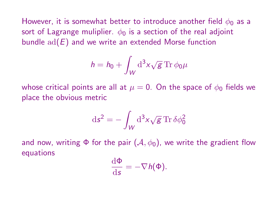However, it is somewhat better to introduce another field  $\phi_0$  as a sort of Lagrange muliplier.  $\phi_0$  is a section of the real adjoint bundle  $ad(E)$  and we write an extended Morse function

$$
h = h_0 + \int_W \mathrm{d}^3 x \sqrt{g} \,\mathrm{Tr}\, \phi_0 \mu
$$

whose critical points are all at  $\mu = 0$ . On the space of  $\phi_0$  fields we place the obvious metric

$$
\mathrm{d}s^2 = -\int_W \mathrm{d}^3x \sqrt{g} \operatorname{Tr} \delta \phi_0^2
$$

and now, writing  $\Phi$  for the pair  $(\mathcal{A}, \phi_0)$ , we write the gradient flow equations

$$
\frac{\mathrm{d}\Phi}{\mathrm{d}s}=-\nabla h(\Phi).
$$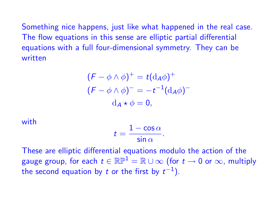Something nice happens, just like what happened in the real case. The flow equations in this sense are elliptic partial differential equations with a full four-dimensional symmetry. They can be written

$$
(F - \phi \wedge \phi)^{+} = t(\mathrm{d}_{A}\phi)^{+}
$$

$$
(F - \phi \wedge \phi)^{-} = -t^{-1}(\mathrm{d}_{A}\phi)^{-}
$$

$$
\mathrm{d}_{A} \star \phi = 0,
$$

with

$$
t=\frac{1-\cos\alpha}{\sin\alpha}.
$$

These are elliptic differential equations modulo the action of the gauge group, for each  $t \in \mathbb{RP}^1 = \mathbb{R} \cup \infty$  (for  $t \to 0$  or  $\infty$ , multiply the second equation by t or the first by  $t^{-1}$ ).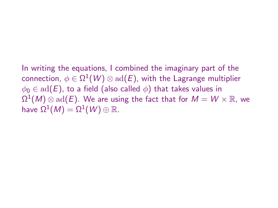In writing the equations, I combined the imaginary part of the connection,  $\phi \in \Omega^1(W) \otimes \mathrm{ad}(E)$ , with the Lagrange multiplier  $\phi_0 \in \text{ad}(E)$ , to a field (also called  $\phi$ ) that takes values in  $\Omega^1(M) \otimes \text{ad}(E)$ . We are using the fact that for  $M = W \times \mathbb{R}$ , we have  $\Omega^1(M)=\Omega^1(W)\oplus\mathbb{R}.$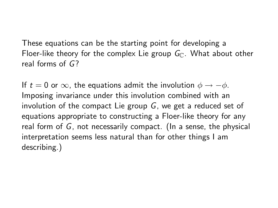These equations can be the starting point for developing a Floer-like theory for the complex Lie group  $G_{\mathbb{C}}$ . What about other real forms of G?

If  $t = 0$  or  $\infty$ , the equations admit the involution  $\phi \rightarrow -\phi$ . Imposing invariance under this involution combined with an involution of the compact Lie group  $G$ , we get a reduced set of equations appropriate to constructing a Floer-like theory for any real form of G, not necessarily compact. (In a sense, the physical interpretation seems less natural than for other things I am describing.)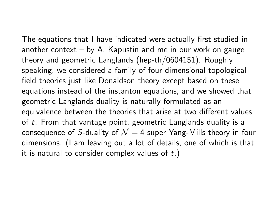The equations that I have indicated were actually first studied in another context  $-$  by A. Kapustin and me in our work on gauge theory and geometric Langlands (hep-th/0604151). Roughly speaking, we considered a family of four-dimensional topological field theories just like Donaldson theory except based on these equations instead of the instanton equations, and we showed that geometric Langlands duality is naturally formulated as an equivalence between the theories that arise at two different values of t. From that vantage point, geometric Langlands duality is a consequence of S-duality of  $\mathcal{N} = 4$  super Yang-Mills theory in four dimensions. (I am leaving out a lot of details, one of which is that it is natural to consider complex values of  $t$ .)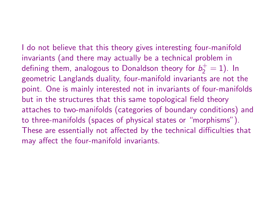I do not believe that this theory gives interesting four-manifold invariants (and there may actually be a technical problem in defining them, analogous to Donaldson theory for  $b_2^+=1$ ). In geometric Langlands duality, four-manifold invariants are not the point. One is mainly interested not in invariants of four-manifolds but in the structures that this same topological field theory attaches to two-manifolds (categories of boundary conditions) and to three-manifolds (spaces of physical states or "morphisms"). These are essentially not affected by the technical difficulties that may affect the four-manifold invariants.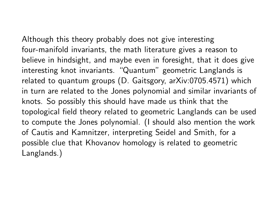Although this theory probably does not give interesting four-manifold invariants, the math literature gives a reason to believe in hindsight, and maybe even in foresight, that it does give interesting knot invariants. "Quantum" geometric Langlands is related to quantum groups (D. Gaitsgory, arXiv:0705.4571) which in turn are related to the Jones polynomial and similar invariants of knots. So possibly this should have made us think that the topological field theory related to geometric Langlands can be used to compute the Jones polynomial. (I should also mention the work of Cautis and Kamnitzer, interpreting Seidel and Smith, for a possible clue that Khovanov homology is related to geometric Langlands.)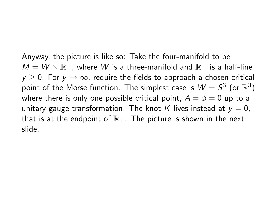Anyway, the picture is like so: Take the four-manifold to be  $M = W \times \mathbb{R}_+$ , where W is a three-manifold and  $\mathbb{R}_+$  is a half-line  $y > 0$ . For  $y \rightarrow \infty$ , require the fields to approach a chosen critical point of the Morse function. The simplest case is  $W=S^3$  (or  $\mathbb{R}^3)$ where there is only one possible critical point,  $A = \phi = 0$  up to a unitary gauge transformation. The knot K lives instead at  $y = 0$ , that is at the endpoint of  $\mathbb{R}_+$ . The picture is shown in the next slide.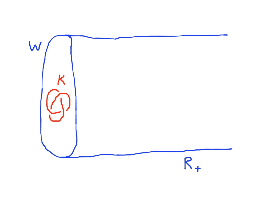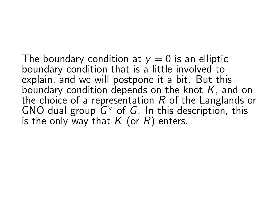The boundary condition at  $y = 0$  is an elliptic boundary condition that is a little involved to explain, and we will postpone it a bit. But this boundary condition depends on the knot  $K$ , and on the choice of a representation  $R$  of the Langlands or GNO dual group  $G^{\vee}$  of G. In this description, this is the only way that  $K$  (or  $R$ ) enters.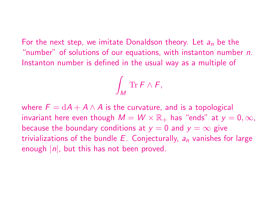For the next step, we imitate Donaldson theory. Let  $a_n$  be the "number" of solutions of our equations, with instanton number n. Instanton number is defined in the usual way as a multiple of

$$
\int_M \operatorname{Tr} F \wedge F,
$$

where  $F = dA + A \wedge A$  is the curvature, and is a topological invariant here even though  $M = W \times \mathbb{R}_+$  has "ends" at  $y = 0, \infty$ , because the boundary conditions at  $y = 0$  and  $y = \infty$  give trivializations of the bundle  $E$ . Conjecturally,  $a_n$  vanishes for large enough  $|n|$ , but this has not been proved.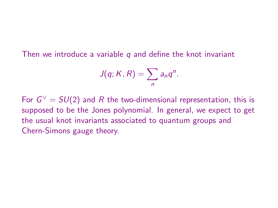Then we introduce a variable  $q$  and define the knot invariant

$$
J(q; K, R) = \sum_n a_n q^n.
$$

For  $G^\vee=SU(2)$  and  $R$  the two-dimensional representation, this is supposed to be the Jones polynomial. In general, we expect to get the usual knot invariants associated to quantum groups and Chern-Simons gauge theory.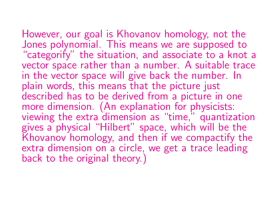# However, our goal is Khovanov homology, not the

Jones polynomial. This means we are supposed to "categorify" the situation, and associate to a knot a vector space rather than a number. A suitable trace in the vector space will give back the number. In plain words, this means that the picture just described has to be derived from a picture in one more dimension. (An explanation for physicists: viewing the extra dimension as "time," quantization gives a physical "Hilbert" space, which will be the Khovanov homology, and then if we compactify the extra dimension on a circle, we get a trace leading back to the original theory.)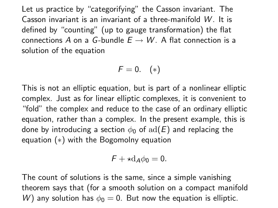Let us practice by "categorifying" the Casson invariant. The Casson invariant is an invariant of a three-manifold W . It is defined by "counting" (up to gauge transformation) the flat connections A on a G-bundle  $E \rightarrow W$ . A flat connection is a solution of the equation

$$
F=0. \quad (*)
$$

This is not an elliptic equation, but is part of a nonlinear elliptic complex. Just as for linear elliptic complexes, it is convenient to "fold" the complex and reduce to the case of an ordinary elliptic equation, rather than a complex. In the present example, this is done by introducing a section  $\phi_0$  of  $\text{ad}(E)$  and replacing the equation (∗) with the Bogomolny equation

$$
F + \star d_A \phi_0 = 0.
$$

The count of solutions is the same, since a simple vanishing theorem says that (for a smooth solution on a compact manifold W) any solution has  $\phi_0 = 0$ . But now the equation is elliptic.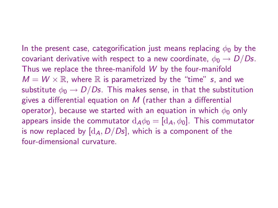In the present case, categorification just means replacing  $\phi_0$  by the covariant derivative with respect to a new coordinate,  $\phi_0 \rightarrow D/Ds$ . Thus we replace the three-manifold W by the four-manifold  $M = W \times \mathbb{R}$ , where  $\mathbb R$  is parametrized by the "time" s, and we substitute  $\phi_0 \rightarrow D/Ds$ . This makes sense, in that the substitution gives a differential equation on  $M$  (rather than a differential operator), because we started with an equation in which  $\phi_0$  only appears inside the commutator  $d_A\phi_0 = [d_A, \phi_0]$ . This commutator is now replaced by  $[d_A, D/Ds]$ , which is a component of the four-dimensional curvature.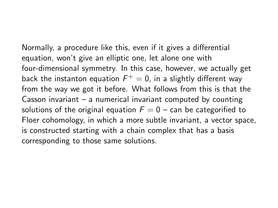Normally, a procedure like this, even if it gives a differential equation, won't give an elliptic one, let alone one with four-dimensional symmetry. In this case, however, we actually get back the instanton equation  $\mathcal{F}^+=0$ , in a slightly different way from the way we got it before. What follows from this is that the Casson invariant – a numerical invariant computed by counting solutions of the original equation  $F = 0$  – can be categorified to Floer cohomology, in which a more subtle invariant, a vector space, is constructed starting with a chain complex that has a basis corresponding to those same solutions.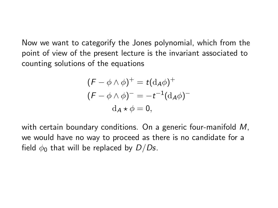Now we want to categorify the Jones polynomial, which from the point of view of the present lecture is the invariant associated to counting solutions of the equations

$$
(F - \phi \wedge \phi)^{+} = t(\mathrm{d}_{A}\phi)^{+}
$$

$$
(F - \phi \wedge \phi)^{-} = -t^{-1}(\mathrm{d}_{A}\phi)^{-}
$$

$$
\mathrm{d}_{A} \star \phi = 0,
$$

with certain boundary conditions. On a generic four-manifold M, we would have no way to proceed as there is no candidate for a field  $\phi_0$  that will be replaced by  $D/Ds$ .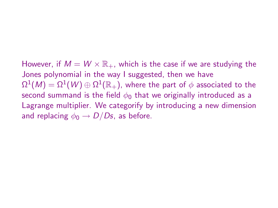However, if  $M = W \times \mathbb{R}_+$ , which is the case if we are studying the Jones polynomial in the way I suggested, then we have  $\Omega^1(\mathcal{M})=\Omega^1(\mathcal{W})\oplus\Omega^1(\mathbb{R}_+),$  where the part of  $\phi$  associated to the second summand is the field  $\phi_0$  that we originally introduced as a Lagrange multiplier. We categorify by introducing a new dimension and replacing  $\phi_0 \rightarrow D/Ds$ , as before.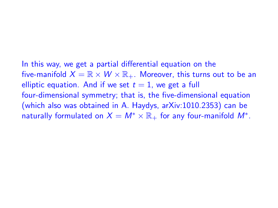In this way, we get a partial differential equation on the five-manifold  $X = \mathbb{R} \times W \times \mathbb{R}_+$ . Moreover, this turns out to be an elliptic equation. And if we set  $t = 1$ , we get a full four-dimensional symmetry; that is, the five-dimensional equation (which also was obtained in A. Haydys, arXiv:1010.2353) can be naturally formulated on  $X = M^* \times \mathbb{R}_+$  for any four-manifold  $M^*$ .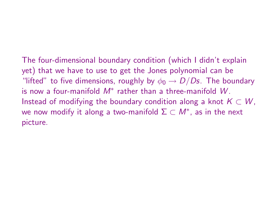The four-dimensional boundary condition (which I didn't explain yet) that we have to use to get the Jones polynomial can be "lifted" to five dimensions, roughly by  $\phi_0 \rightarrow D/Ds$ . The boundary is now a four-manifold  $M^*$  rather than a three-manifold  $W.$ Instead of modifying the boundary condition along a knot  $K \subset W$ , we now modify it along a two-manifold  $\Sigma\subset M^*$ , as in the next picture.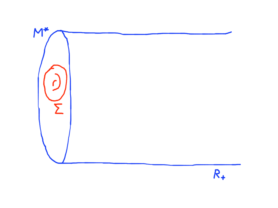

 $R_{+}$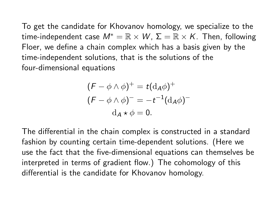To get the candidate for Khovanov homology, we specialize to the time-independent case  $M^* = \mathbb{R} \times W$ ,  $\Sigma = \mathbb{R} \times K$ . Then, following Floer, we define a chain complex which has a basis given by the time-independent solutions, that is the solutions of the four-dimensional equations

$$
(F - \phi \wedge \phi)^{+} = t(\mathrm{d}_{A}\phi)^{+}
$$

$$
(F - \phi \wedge \phi)^{-} = -t^{-1}(\mathrm{d}_{A}\phi)^{-}
$$

$$
\mathrm{d}_{A} \star \phi = 0.
$$

The differential in the chain complex is constructed in a standard fashion by counting certain time-dependent solutions. (Here we use the fact that the five-dimensional equations can themselves be interpreted in terms of gradient flow.) The cohomology of this differential is the candidate for Khovanov homology.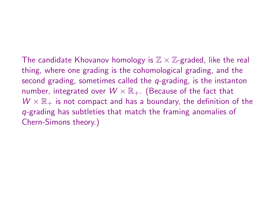The candidate Khovanov homology is  $\mathbb{Z} \times \mathbb{Z}$ -graded, like the real thing, where one grading is the cohomological grading, and the second grading, sometimes called the  $q$ -grading, is the instanton number, integrated over  $W \times \mathbb{R}_+$ . (Because of the fact that  $W \times \mathbb{R}_+$  is not compact and has a boundary, the definition of the q-grading has subtleties that match the framing anomalies of Chern-Simons theory.)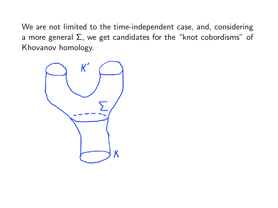We are not limited to the time-independent case, and, considering a more general  $\Sigma$ , we get candidates for the "knot cobordisms" of Khovanov homology.

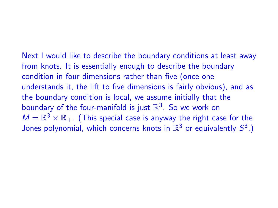Next I would like to describe the boundary conditions at least away from knots. It is essentially enough to describe the boundary condition in four dimensions rather than five (once one understands it, the lift to five dimensions is fairly obvious), and as the boundary condition is local, we assume initially that the boundary of the four-manifold is just  $\mathbb{R}^3$ . So we work on  $M = \mathbb{R}^3 \times \mathbb{R}_+$ . (This special case is anyway the right case for the Jones polynomial, which concerns knots in  $\mathbb{R}^3$  or equivalently  $S^3$ .)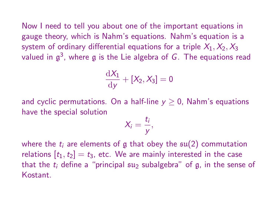Now I need to tell you about one of the important equations in gauge theory, which is Nahm's equations. Nahm's equation is a system of ordinary differential equations for a triple  $X_1, X_2, X_3$ valued in  $\mathfrak{g}^3$ , where  $\mathfrak g$  is the Lie algebra of  $G.$  The equations read

$$
\frac{\mathrm{d}X_1}{\mathrm{d}y} + [X_2, X_3] = 0
$$

and cyclic permutations. On a half-line  $y \geq 0$ , Nahm's equations have the special solution

$$
X_i=\frac{t_i}{y},
$$

where the  $t_i$  are elements of g that obey the  $\mathfrak{su}(2)$  commutation relations  $[t_1, t_2] = t_3$ , etc. We are mainly interested in the case that the  $t_i$  define a "principal  $\mathfrak{su}_2$  subalgebra" of g, in the sense of Kostant.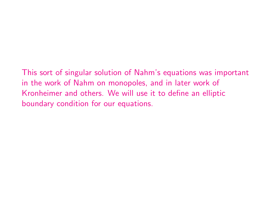This sort of singular solution of Nahm's equations was important in the work of Nahm on monopoles, and in later work of Kronheimer and others. We will use it to define an elliptic boundary condition for our equations.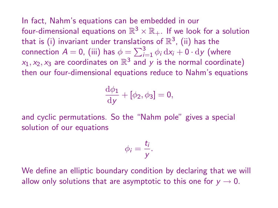In fact, Nahm's equations can be embedded in our four-dimensional equations on  $\mathbb{R}^3 \times \mathbb{R}_+$ . If we look for a solution that is (i) invariant under translations of  $\mathbb{R}^3$ , (ii) has the connection  $A = 0$ , (iii) has  $\phi = \sum_{i=1}^{3} \phi_i \, dx_i + 0 \cdot dy$  (where  $x_1, x_2, x_3$  are coordinates on  $\mathbb{R}^3$  and  $\overline{y}$  is the normal coordinate) then our four-dimensional equations reduce to Nahm's equations

$$
\frac{\mathrm{d}\phi_1}{\mathrm{d}y} + [\phi_2, \phi_3] = 0,
$$

and cyclic permutations. So the "Nahm pole" gives a special solution of our equations

$$
\phi_i=\frac{t_i}{y}.
$$

We define an elliptic boundary condition by declaring that we will allow only solutions that are asymptotic to this one for  $y \rightarrow 0$ .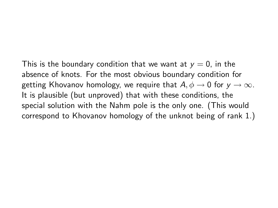This is the boundary condition that we want at  $y = 0$ , in the absence of knots. For the most obvious boundary condition for getting Khovanov homology, we require that  $A, \phi \rightarrow 0$  for  $y \rightarrow \infty$ . It is plausible (but unproved) that with these conditions, the special solution with the Nahm pole is the only one. (This would correspond to Khovanov homology of the unknot being of rank 1.)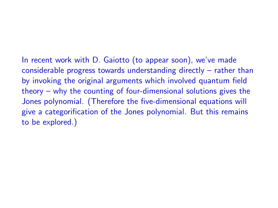In recent work with D. Gaiotto (to appear soon), we've made considerable progress towards understanding directly – rather than by invoking the original arguments which involved quantum field theory – why the counting of four-dimensional solutions gives the Jones polynomial. (Therefore the five-dimensional equations will give a categorification of the Jones polynomial. But this remains to be explored.)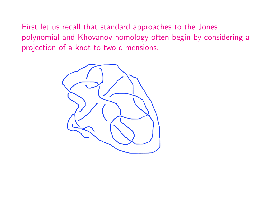First let us recall that standard approaches to the Jones polynomial and Khovanov homology often begin by considering a projection of a knot to two dimensions.

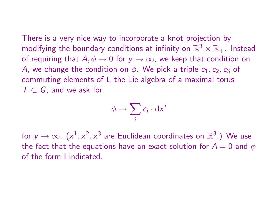There is a very nice way to incorporate a knot projection by modifying the boundary conditions at infinity on  $\mathbb{R}^3 \times \mathbb{R}_+$ . Instead of requiring that  $A, \phi \rightarrow 0$  for  $y \rightarrow \infty$ , we keep that condition on A, we change the condition on  $\phi$ . We pick a triple  $c_1, c_2, c_3$  of commuting elements of t, the Lie algebra of a maximal torus  $T \subset G$ , and we ask for

$$
\phi \to \sum_i c_i \cdot \mathrm{d} x^i
$$

for  $y \to \infty$ .  $(x^1, x^2, x^3$  are Euclidean coordinates on  $\mathbb{R}^3$ .) We use the fact that the equations have an exact solution for  $A = 0$  and  $\phi$ of the form I indicated.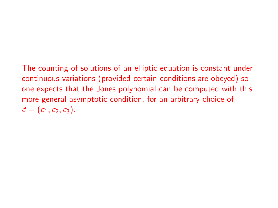The counting of solutions of an elliptic equation is constant under continuous variations (provided certain conditions are obeyed) so one expects that the Jones polynomial can be computed with this more general asymptotic condition, for an arbitrary choice of  $\vec{c} = (c_1, c_2, c_3).$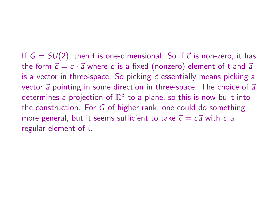If  $G = SU(2)$ , then t is one-dimensional. So if  $\vec{c}$  is non-zero, it has the form  $\vec{c} = c \cdot \vec{a}$  where c is a fixed (nonzero) element of t and  $\vec{a}$ is a vector in three-space. So picking  $\vec{c}$  essentially means picking a vector  $\vec{a}$  pointing in some direction in three-space. The choice of  $\vec{a}$ determines a projection of  $\mathbb{R}^3$  to a plane, so this is now built into the construction. For G of higher rank, one could do something more general, but it seems sufficient to take  $\vec{c} = c\vec{a}$  with c a regular element of t.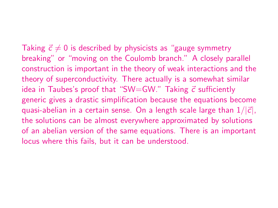Taking  $\vec{c} \neq 0$  is described by physicists as "gauge symmetry breaking" or "moving on the Coulomb branch." A closely parallel construction is important in the theory of weak interactions and the theory of superconductivity. There actually is a somewhat similar idea in Taubes's proof that "SW=GW." Taking  $\vec{c}$  sufficiently generic gives a drastic simplification because the equations become quasi-abelian in a certain sense. On a length scale large than  $1/|\vec{c}|$ , the solutions can be almost everywhere approximated by solutions of an abelian version of the same equations. There is an important locus where this fails, but it can be understood.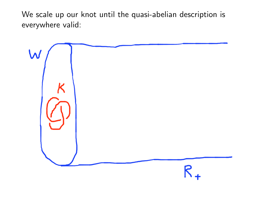We scale up our knot until the quasi-abelian description is everywhere valid:

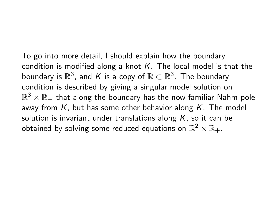To go into more detail, I should explain how the boundary condition is modified along a knot  $K$ . The local model is that the boundary is  $\mathbb{R}^3$ , and K is a copy of  $\mathbb{R} \subset \mathbb{R}^3$ . The boundary condition is described by giving a singular model solution on  $\mathbb{R}^3 \times \mathbb{R}_+$  that along the boundary has the now-familiar Nahm pole away from  $K$ , but has some other behavior along  $K$ . The model solution is invariant under translations along  $K$ , so it can be obtained by solving some reduced equations on  $\mathbb{R}^2 \times \mathbb{R}_+.$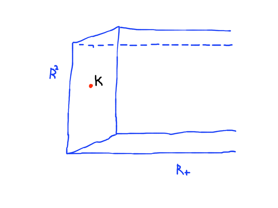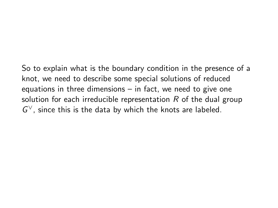So to explain what is the boundary condition in the presence of a knot, we need to describe some special solutions of reduced equations in three dimensions – in fact, we need to give one solution for each irreducible representation  $R$  of the dual group  $G^{\vee}$ , since this is the data by which the knots are labeled.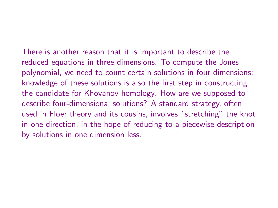There is another reason that it is important to describe the reduced equations in three dimensions. To compute the Jones polynomial, we need to count certain solutions in four dimensions; knowledge of these solutions is also the first step in constructing the candidate for Khovanov homology. How are we supposed to describe four-dimensional solutions? A standard strategy, often used in Floer theory and its cousins, involves "stretching" the knot in one direction, in the hope of reducing to a piecewise description by solutions in one dimension less.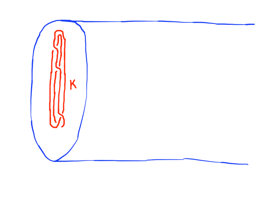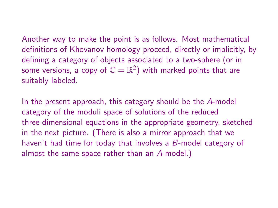Another way to make the point is as follows. Most mathematical definitions of Khovanov homology proceed, directly or implicitly, by defining a category of objects associated to a two-sphere (or in some versions, a copy of  $\mathbb{C} = \mathbb{R}^2)$  with marked points that are suitably labeled.

In the present approach, this category should be the A-model category of the moduli space of solutions of the reduced three-dimensional equations in the appropriate geometry, sketched in the next picture. (There is also a mirror approach that we haven't had time for today that involves a B-model category of almost the same space rather than an A-model.)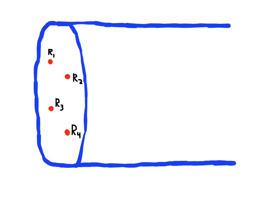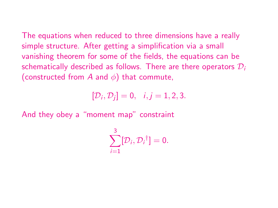The equations when reduced to three dimensions have a really simple structure. After getting a simplification via a small vanishing theorem for some of the fields, the equations can be schematically described as follows. There are there operators  $\mathcal{D}_i$ (constructed from A and  $\phi$ ) that commute,

 $[\mathcal{D}_i, \mathcal{D}_j] = 0, \quad i, j = 1, 2, 3.$ 

And they obey a "moment map" constraint

$$
\sum_{i=1}^3[\mathcal{D}_i,\mathcal{D}_i^{\dagger}]=0.
$$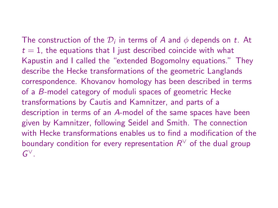The construction of the  $\mathcal{D}_i$  in terms of A and  $\phi$  depends on t. At  $t = 1$ , the equations that I just described coincide with what Kapustin and I called the "extended Bogomolny equations." They describe the Hecke transformations of the geometric Langlands correspondence. Khovanov homology has been described in terms of a B-model category of moduli spaces of geometric Hecke transformations by Cautis and Kamnitzer, and parts of a description in terms of an A-model of the same spaces have been given by Kamnitzer, following Seidel and Smith. The connection with Hecke transformations enables us to find a modification of the boundary condition for every representation  $R^\vee$  of the dual group  $G^{\vee}.$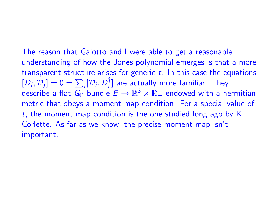The reason that Gaiotto and I were able to get a reasonable understanding of how the Jones polynomial emerges is that a more transparent structure arises for generic  $t$ . In this case the equations  $[D_i, D_j] = 0 = \sum_i [D_i, D_i']$  are actually more familiar. They describe a flat  $\mathit{G}_{\mathbb{C}}$  bundle  $E\to \mathbb{R}^3\times \mathbb{R}_+$  endowed with a hermitian metric that obeys a moment map condition. For a special value of  $t$ , the moment map condition is the one studied long ago by  $K$ . Corlette. As far as we know, the precise moment map isn't important.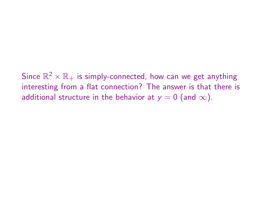Since  $\mathbb{R}^2 \times \mathbb{R}_+$  is simply-connected, how can we get anything interesting from a flat connection? The answer is that there is additional structure in the behavior at  $y = 0$  (and  $\infty$ ).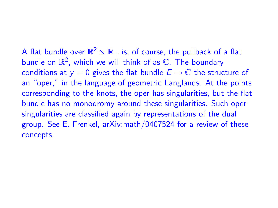A flat bundle over  $\mathbb{R}^2 \times \mathbb{R}_+$  is, of course, the pullback of a flat bundle on  $\mathbb{R}^2$ , which we will think of as  $\mathbb{C}.$  The boundary conditions at  $y = 0$  gives the flat bundle  $E \to \mathbb{C}$  the structure of an "oper," in the language of geometric Langlands. At the points corresponding to the knots, the oper has singularities, but the flat bundle has no monodromy around these singularities. Such oper singularities are classified again by representations of the dual group. See E. Frenkel, arXiv:math/0407524 for a review of these concepts.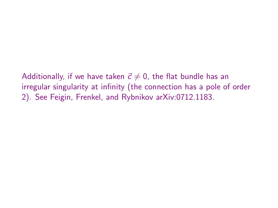Additionally, if we have taken  $\vec{c} \neq 0$ , the flat bundle has an irregular singularity at infinity (the connection has a pole of order 2). See Feigin, Frenkel, and Rybnikov arXiv:0712.1183.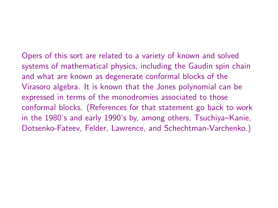Opers of this sort are related to a variety of known and solved systems of mathematical physics, including the Gaudin spin chain and what are known as degenerate conformal blocks of the Virasoro algebra. It is known that the Jones polynomial can be expressed in terms of the monodromies associated to those conformal blocks. (References for that statement go back to work in the 1980's and early 1990's by, among others, Tsuchiya–Kanie, Dotsenko-Fateev, Felder, Lawrence, and Schechtman-Varchenko.)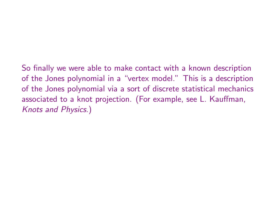So finally we were able to make contact with a known description of the Jones polynomial in a "vertex model." This is a description of the Jones polynomial via a sort of discrete statistical mechanics associated to a knot projection. (For example, see L. Kauffman, Knots and Physics.)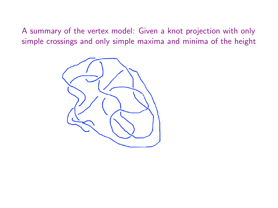A summary of the vertex model: Given a knot projection with only simple crossings and only simple maxima and minima of the height

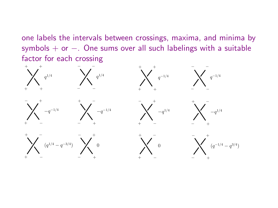one labels the intervals between crossings, maxima, and minima by symbols  $+$  or  $-$ . One sums over all such labelings with a suitable factor for each crossing